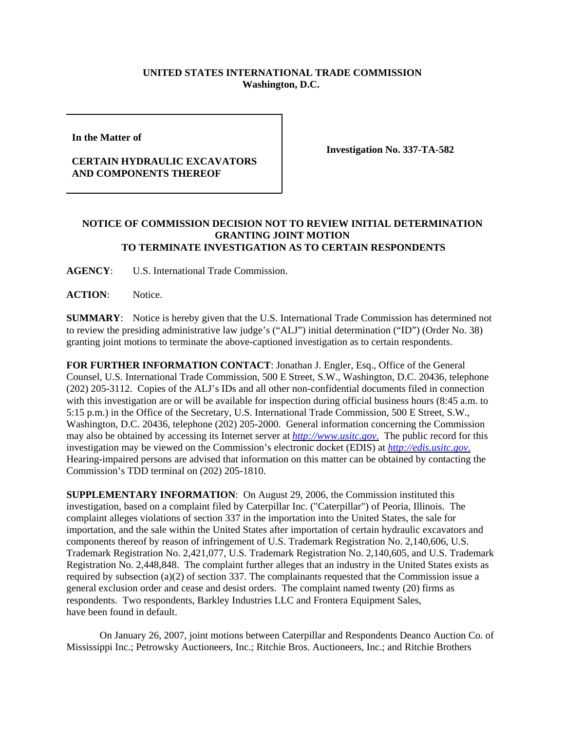## **UNITED STATES INTERNATIONAL TRADE COMMISSION Washington, D.C.**

**In the Matter of** 

## **CERTAIN HYDRAULIC EXCAVATORS AND COMPONENTS THEREOF**

**Investigation No. 337-TA-582**

## **NOTICE OF COMMISSION DECISION NOT TO REVIEW INITIAL DETERMINATION GRANTING JOINT MOTION TO TERMINATE INVESTIGATION AS TO CERTAIN RESPONDENTS**

**AGENCY**: U.S. International Trade Commission.

**ACTION**: Notice.

**SUMMARY**: Notice is hereby given that the U.S. International Trade Commission has determined not to review the presiding administrative law judge's ("ALJ") initial determination ("ID") (Order No. 38) granting joint motions to terminate the above-captioned investigation as to certain respondents.

**FOR FURTHER INFORMATION CONTACT**: Jonathan J. Engler, Esq., Office of the General Counsel, U.S. International Trade Commission, 500 E Street, S.W., Washington, D.C. 20436, telephone (202) 205-3112. Copies of the ALJ's IDs and all other non-confidential documents filed in connection with this investigation are or will be available for inspection during official business hours (8:45 a.m. to 5:15 p.m.) in the Office of the Secretary, U.S. International Trade Commission, 500 E Street, S.W., Washington, D.C. 20436, telephone (202) 205-2000. General information concerning the Commission may also be obtained by accessing its Internet server at *http://www.usitc.gov*. The public record for this investigation may be viewed on the Commission's electronic docket (EDIS) at *http://edis.usitc.gov*. Hearing-impaired persons are advised that information on this matter can be obtained by contacting the Commission's TDD terminal on (202) 205-1810.

**SUPPLEMENTARY INFORMATION**: On August 29, 2006, the Commission instituted this investigation, based on a complaint filed by Caterpillar Inc. ("Caterpillar") of Peoria, Illinois. The complaint alleges violations of section 337 in the importation into the United States, the sale for importation, and the sale within the United States after importation of certain hydraulic excavators and components thereof by reason of infringement of U.S. Trademark Registration No. 2,140,606, U.S. Trademark Registration No. 2,421,077, U.S. Trademark Registration No. 2,140,605, and U.S. Trademark Registration No. 2,448,848. The complaint further alleges that an industry in the United States exists as required by subsection (a)(2) of section 337. The complainants requested that the Commission issue a general exclusion order and cease and desist orders. The complaint named twenty (20) firms as respondents. Two respondents, Barkley Industries LLC and Frontera Equipment Sales, have been found in default.

On January 26, 2007, joint motions between Caterpillar and Respondents Deanco Auction Co. of Mississippi Inc.; Petrowsky Auctioneers, Inc.; Ritchie Bros. Auctioneers, Inc.; and Ritchie Brothers